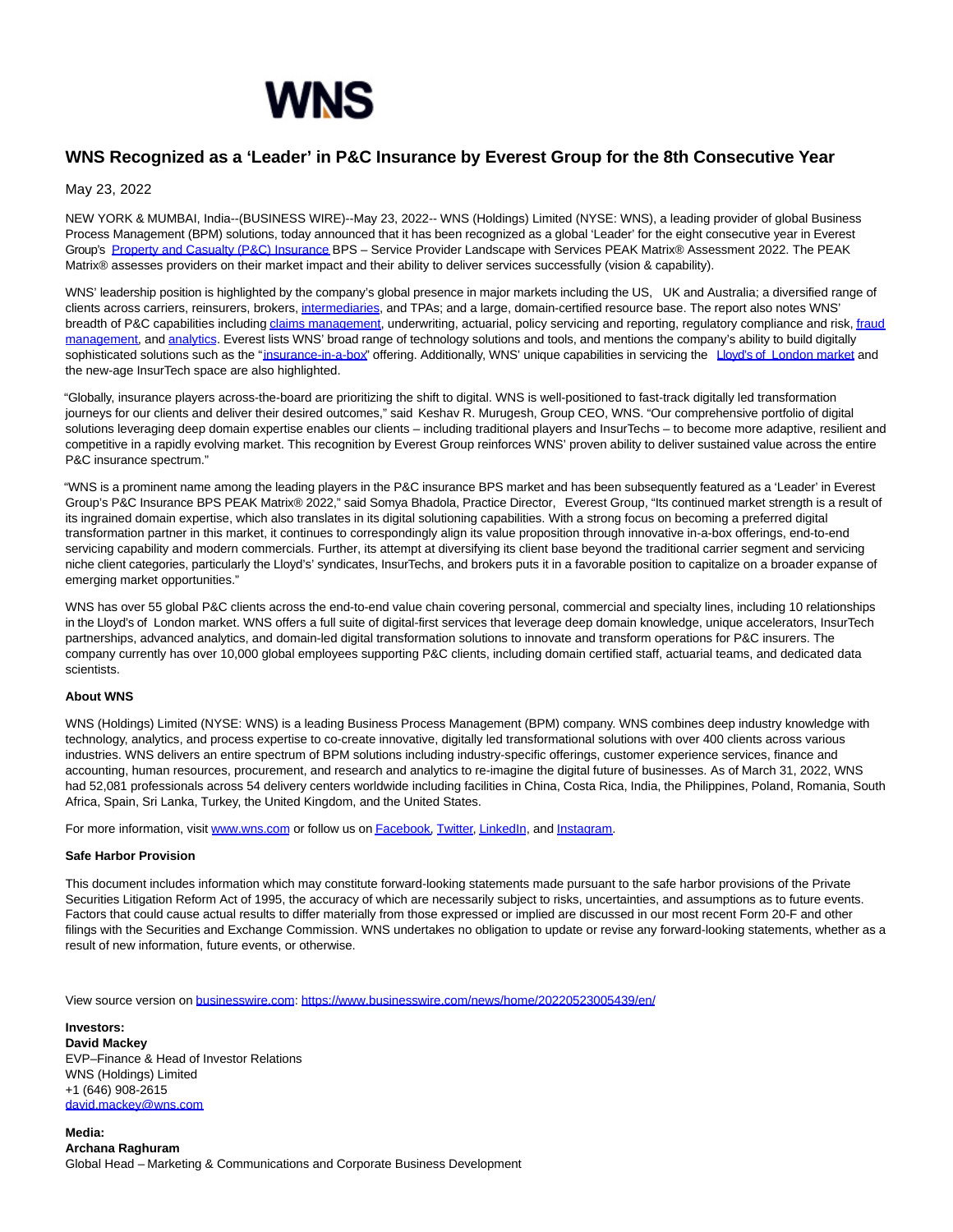

## **WNS Recognized as a 'Leader' in P&C Insurance by Everest Group for the 8th Consecutive Year**

## May 23, 2022

NEW YORK & MUMBAI, India--(BUSINESS WIRE)--May 23, 2022-- WNS (Holdings) Limited (NYSE: WNS), a leading provider of global Business Process Management (BPM) solutions, today announced that it has been recognized as a global 'Leader' for the eight consecutive year in Everest Group's [Property and Casualty \(P&C\) Insurance B](https://cts.businesswire.com/ct/CT?id=smartlink&url=https%3A%2F%2Fwww.wns.com%2Findustries%2Finsurance%2Fproperty-and-casualty&esheet=52727317&newsitemid=20220523005439&lan=en-US&anchor=Property+and+Casualty+%28P%26amp%3BC%29+Insurance&index=1&md5=d8c587ad80cce58f4372715501be2c7a)PS – Service Provider Landscape with Services PEAK Matrix® Assessment 2022. The PEAK Matrix® assesses providers on their market impact and their ability to deliver services successfully (vision & capability).

WNS' leadership position is highlighted by the company's global presence in major markets including the US, UK and Australia; a diversified range of clients across carriers, reinsurers, brokers, [intermediaries,](https://cts.businesswire.com/ct/CT?id=smartlink&url=https%3A%2F%2Fwww.wns.com%2Findustries%2Finsurance%2Finsurance-intermediaries&esheet=52727317&newsitemid=20220523005439&lan=en-US&anchor=intermediaries&index=2&md5=09239a55fda2c588a2684b9950cae293) and TPAs; and a large, domain-certified resource base. The report also notes WNS' breadth of P&C capabilities includin[g claims management,](https://cts.businesswire.com/ct/CT?id=smartlink&url=https%3A%2F%2Fwww.wns.com%2Findustries%2Finsurance%2Fclaims-management&esheet=52727317&newsitemid=20220523005439&lan=en-US&anchor=claims+management&index=3&md5=6488780ae71a0638c21be2ca34bad18f) underwriting, actuarial, policy servicing and reporting, regulatory compliance and risk[, fraud](https://cts.businesswire.com/ct/CT?id=smartlink&url=https%3A%2F%2Fwww.wns.com%2Fcapabilities%2Fgovernance-risk-compliance%2Ffraud-and-risk-analytics&esheet=52727317&newsitemid=20220523005439&lan=en-US&anchor=fraud+management&index=4&md5=93a78aef5d0ff81f17656775b480ad3b) management, an[d analytics.](https://cts.businesswire.com/ct/CT?id=smartlink&url=https%3A%2F%2Fwww.wns.com%2Fcapabilities%2Fanalytics&esheet=52727317&newsitemid=20220523005439&lan=en-US&anchor=analytics&index=5&md5=ac77e98826add9679c871bd156c20a52) Everest lists WNS' broad range of technology solutions and tools, and mentions the company's ability to build digitally sophisticated solutions such as the ["insurance-in-a-box"](https://cts.businesswire.com/ct/CT?id=smartlink&url=https%3A%2F%2Fwww.wns.com%2Findustries%2Finsurance%2Fwns-invog-insurance-in-a-box-solution&esheet=52727317&newsitemid=20220523005439&lan=en-US&anchor=insurance-in-a-box&index=6&md5=e6d259141b3e2ef10226cd9191a319da) offering. Additionally, WNS' unique capabilities in servicing the Lovd's of London market and the new-age InsurTech space are also highlighted.

"Globally, insurance players across-the-board are prioritizing the shift to digital. WNS is well-positioned to fast-track digitally led transformation journeys for our clients and deliver their desired outcomes," said Keshav R. Murugesh, Group CEO, WNS. "Our comprehensive portfolio of digital solutions leveraging deep domain expertise enables our clients – including traditional players and InsurTechs – to become more adaptive, resilient and competitive in a rapidly evolving market. This recognition by Everest Group reinforces WNS' proven ability to deliver sustained value across the entire P&C insurance spectrum."

"WNS is a prominent name among the leading players in the P&C insurance BPS market and has been subsequently featured as a 'Leader' in Everest Group's P&C Insurance BPS PEAK Matrix® 2022," said Somya Bhadola, Practice Director, Everest Group, "Its continued market strength is a result of its ingrained domain expertise, which also translates in its digital solutioning capabilities. With a strong focus on becoming a preferred digital transformation partner in this market, it continues to correspondingly align its value proposition through innovative in-a-box offerings, end-to-end servicing capability and modern commercials. Further, its attempt at diversifying its client base beyond the traditional carrier segment and servicing niche client categories, particularly the Lloyd's' syndicates, InsurTechs, and brokers puts it in a favorable position to capitalize on a broader expanse of emerging market opportunities."

WNS has over 55 global P&C clients across the end-to-end value chain covering personal, commercial and specialty lines, including 10 relationships in the Lloyd's of London market. WNS offers a full suite of digital-first services that leverage deep domain knowledge, unique accelerators, InsurTech partnerships, advanced analytics, and domain-led digital transformation solutions to innovate and transform operations for P&C insurers. The company currently has over 10,000 global employees supporting P&C clients, including domain certified staff, actuarial teams, and dedicated data scientists.

## **About WNS**

WNS (Holdings) Limited (NYSE: WNS) is a leading Business Process Management (BPM) company. WNS combines deep industry knowledge with technology, analytics, and process expertise to co-create innovative, digitally led transformational solutions with over 400 clients across various industries. WNS delivers an entire spectrum of BPM solutions including industry-specific offerings, customer experience services, finance and accounting, human resources, procurement, and research and analytics to re-imagine the digital future of businesses. As of March 31, 2022, WNS had 52,081 professionals across 54 delivery centers worldwide including facilities in China, Costa Rica, India, the Philippines, Poland, Romania, South Africa, Spain, Sri Lanka, Turkey, the United Kingdom, and the United States.

For more information, visit [www.wns.com o](https://cts.businesswire.com/ct/CT?id=smartlink&url=http%3A%2F%2Fwww.wns.com%2F&esheet=52727317&newsitemid=20220523005439&lan=en-US&anchor=www.wns.com&index=8&md5=90ba61745cf37506fbde6b291ca164d7)r follow us o[n Facebook,](https://cts.businesswire.com/ct/CT?id=smartlink&url=https%3A%2F%2Fwww.facebook.com%2Fwnsglobalservices%2F&esheet=52727317&newsitemid=20220523005439&lan=en-US&anchor=Facebook&index=9&md5=338598b8006884b150c8259f46b219ef) [Twitter,](https://cts.businesswire.com/ct/CT?id=smartlink&url=https%3A%2F%2Ftwitter.com%2Fwnsholdings&esheet=52727317&newsitemid=20220523005439&lan=en-US&anchor=Twitter&index=10&md5=8dc54f0818b0c65fa8df42cad01c8273) [LinkedIn,](https://cts.businesswire.com/ct/CT?id=smartlink&url=https%3A%2F%2Fwww.linkedin.com%2Fcompany%2Fwns-global-services%2Fmycompany%2Fverification%2F&esheet=52727317&newsitemid=20220523005439&lan=en-US&anchor=LinkedIn&index=11&md5=f843a7aa0605a89b7d96fbcd4942cbdc) and [Instagram.](https://cts.businesswire.com/ct/CT?id=smartlink&url=https%3A%2F%2Fwww.instagram.com%2Flifeatwns%2F%3Futm_medium%3Dcopy_link&esheet=52727317&newsitemid=20220523005439&lan=en-US&anchor=Instagram&index=12&md5=78f5729c3cfa4363c6ba728f29ab13a1)

## **Safe Harbor Provision**

This document includes information which may constitute forward-looking statements made pursuant to the safe harbor provisions of the Private Securities Litigation Reform Act of 1995, the accuracy of which are necessarily subject to risks, uncertainties, and assumptions as to future events. Factors that could cause actual results to differ materially from those expressed or implied are discussed in our most recent Form 20-F and other filings with the Securities and Exchange Commission. WNS undertakes no obligation to update or revise any forward-looking statements, whether as a result of new information, future events, or otherwise.

View source version on [businesswire.com:](http://businesswire.com/)<https://www.businesswire.com/news/home/20220523005439/en/>

**Investors: David Mackey** EVP–Finance & Head of Investor Relations WNS (Holdings) Limited +1 (646) 908-2615 [david.mackey@wns.com](mailto:david.mackey@wns.com)